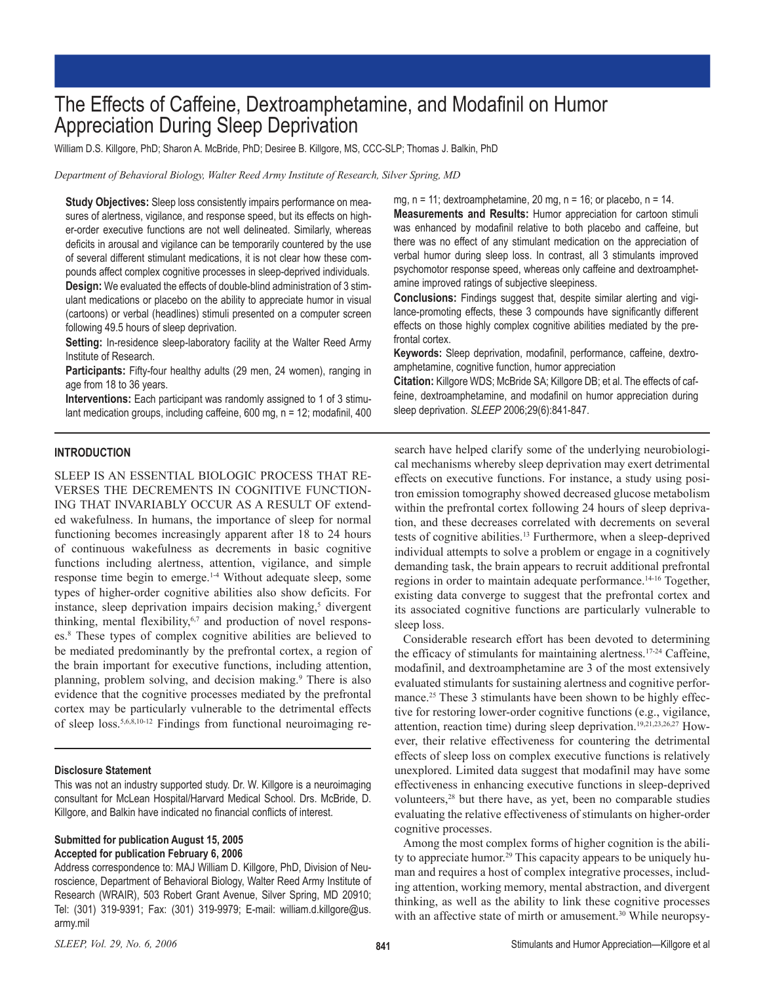# The Effects of Caffeine, Dextroamphetamine, and Modafinil on Humor Appreciation During Sleep Deprivation

William D.S. Killgore, PhD; Sharon A. McBride, PhD; Desiree B. Killgore, MS, CCC-SLP; Thomas J. Balkin, PhD

*Department of Behavioral Biology, Walter Reed Army Institute of Research, Silver Spring, MD*

**Study Objectives:** Sleep loss consistently impairs performance on measures of alertness, vigilance, and response speed, but its effects on higher-order executive functions are not well delineated. Similarly, whereas deficits in arousal and vigilance can be temporarily countered by the use of several different stimulant medications, it is not clear how these compounds affect complex cognitive processes in sleep-deprived individuals. **Design:** We evaluated the effects of double-blind administration of 3 stimulant medications or placebo on the ability to appreciate humor in visual (cartoons) or verbal (headlines) stimuli presented on a computer screen following 49.5 hours of sleep deprivation.

**Setting:** In-residence sleep-laboratory facility at the Walter Reed Army Institute of Research.

**Participants:** Fifty-four healthy adults (29 men, 24 women), ranging in age from 18 to 36 years.

**Interventions:** Each participant was randomly assigned to 1 of 3 stimulant medication groups, including caffeine, 600 mg, n = 12; modafinil, 400

## **INTRODUCTION**

SLEEP IS AN ESSENTIAL BIOLOGIC PROCESS THAT RE-VERSES THE DECREMENTS IN COGNITIVE FUNCTION-ING THAT INVARIABLY OCCUR AS A RESULT OF extended wakefulness. In humans, the importance of sleep for normal functioning becomes increasingly apparent after 18 to 24 hours of continuous wakefulness as decrements in basic cognitive functions including alertness, attention, vigilance, and simple response time begin to emerge.<sup>1-4</sup> Without adequate sleep, some types of higher-order cognitive abilities also show deficits. For instance, sleep deprivation impairs decision making,<sup>5</sup> divergent thinking, mental flexibility,<sup>6,7</sup> and production of novel responses.<sup>8</sup> These types of complex cognitive abilities are believed to be mediated predominantly by the prefrontal cortex, a region of the brain important for executive functions, including attention, planning, problem solving, and decision making.<sup>9</sup> There is also evidence that the cognitive processes mediated by the prefrontal cortex may be particularly vulnerable to the detrimental effects of sleep loss.5,6,8,10-12 Findings from functional neuroimaging re-

## **Disclosure Statement**

This was not an industry supported study. Dr. W. Killgore is a neuroimaging consultant for McLean Hospital/Harvard Medical School. Drs. McBride, D. Killgore, and Balkin have indicated no financial conflicts of interest.

## **Submitted for publication August 15, 2005 Accepted for publication February 6, 2006**

Address correspondence to: MAJ William D. Killgore, PhD, Division of Neuroscience, Department of Behavioral Biology, Walter Reed Army Institute of Research (WRAIR), 503 Robert Grant Avenue, Silver Spring, MD 20910; Tel: (301) 319-9391; Fax: (301) 319-9979; E-mail: william.d.killgore@us. army.mil

mg,  $n = 11$ ; dextroamphetamine, 20 mg,  $n = 16$ ; or placebo,  $n = 14$ . **Measurements and Results:** Humor appreciation for cartoon stimuli was enhanced by modafinil relative to both placebo and caffeine, but there was no effect of any stimulant medication on the appreciation of verbal humor during sleep loss. In contrast, all 3 stimulants improved psychomotor response speed, whereas only caffeine and dextroamphet-

amine improved ratings of subjective sleepiness. **Conclusions:** Findings suggest that, despite similar alerting and vigilance-promoting effects, these 3 compounds have significantly different effects on those highly complex cognitive abilities mediated by the pre-

frontal cortex. **Keywords:** Sleep deprivation, modafinil, performance, caffeine, dextroamphetamine, cognitive function, humor appreciation

**Citation:** Killgore WDS; McBride SA; Killgore DB; et al. The effects of caffeine, dextroamphetamine, and modafinil on humor appreciation during sleep deprivation. *SLEEP* 2006;29(6):841-847.

search have helped clarify some of the underlying neurobiological mechanisms whereby sleep deprivation may exert detrimental effects on executive functions. For instance, a study using positron emission tomography showed decreased glucose metabolism within the prefrontal cortex following 24 hours of sleep deprivation, and these decreases correlated with decrements on several tests of cognitive abilities.<sup>13</sup> Furthermore, when a sleep-deprived individual attempts to solve a problem or engage in a cognitively demanding task, the brain appears to recruit additional prefrontal regions in order to maintain adequate performance.<sup>14-16</sup> Together, existing data converge to suggest that the prefrontal cortex and its associated cognitive functions are particularly vulnerable to sleep loss.

Considerable research effort has been devoted to determining the efficacy of stimulants for maintaining alertness.<sup>17-24</sup> Caffeine, modafinil, and dextroamphetamine are 3 of the most extensively evaluated stimulants for sustaining alertness and cognitive performance.<sup>25</sup> These 3 stimulants have been shown to be highly effective for restoring lower-order cognitive functions (e.g., vigilance, attention, reaction time) during sleep deprivation.19,21,23,26,27 However, their relative effectiveness for countering the detrimental effects of sleep loss on complex executive functions is relatively unexplored. Limited data suggest that modafinil may have some effectiveness in enhancing executive functions in sleep-deprived volunteers,<sup>28</sup> but there have, as yet, been no comparable studies evaluating the relative effectiveness of stimulants on higher-order cognitive processes.

Among the most complex forms of higher cognition is the ability to appreciate humor.<sup>29</sup> This capacity appears to be uniquely human and requires a host of complex integrative processes, including attention, working memory, mental abstraction, and divergent thinking, as well as the ability to link these cognitive processes with an affective state of mirth or amusement.<sup>30</sup> While neuropsy-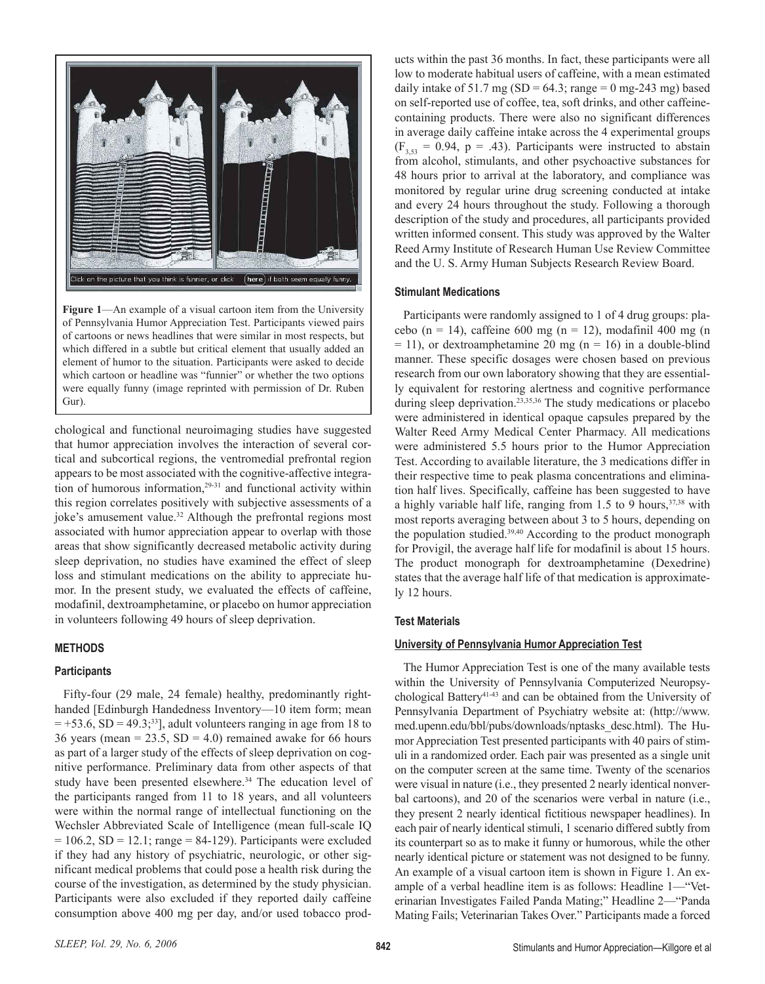

**Figure 1**—An example of a visual cartoon item from the University of Pennsylvania Humor Appreciation Test. Participants viewed pairs of cartoons or news headlines that were similar in most respects, but which differed in a subtle but critical element that usually added an element of humor to the situation. Participants were asked to decide which cartoon or headline was "funnier" or whether the two options were equally funny (image reprinted with permission of Dr. Ruben Gur).

chological and functional neuroimaging studies have suggested that humor appreciation involves the interaction of several cortical and subcortical regions, the ventromedial prefrontal region appears to be most associated with the cognitive-affective integration of humorous information,<sup>29-31</sup> and functional activity within this region correlates positively with subjective assessments of a joke's amusement value.<sup>32</sup> Although the prefrontal regions most associated with humor appreciation appear to overlap with those areas that show significantly decreased metabolic activity during sleep deprivation, no studies have examined the effect of sleep loss and stimulant medications on the ability to appreciate humor. In the present study, we evaluated the effects of caffeine, modafinil, dextroamphetamine, or placebo on humor appreciation in volunteers following 49 hours of sleep deprivation.

# **METHODS**

#### **Participants**

Fifty-four (29 male, 24 female) healthy, predominantly righthanded [Edinburgh Handedness Inventory-10 item form; mean  $= +53.6$ , SD = 49.3;<sup>33</sup>], adult volunteers ranging in age from 18 to 36 years (mean =  $23.5$ , SD = 4.0) remained awake for 66 hours as part of a larger study of the effects of sleep deprivation on cognitive performance. Preliminary data from other aspects of that study have been presented elsewhere.<sup>34</sup> The education level of the participants ranged from 11 to 18 years, and all volunteers were within the normal range of intellectual functioning on the Wechsler Abbreviated Scale of Intelligence (mean full-scale IQ  $= 106.2$ , SD = 12.1; range = 84-129). Participants were excluded if they had any history of psychiatric, neurologic, or other significant medical problems that could pose a health risk during the course of the investigation, as determined by the study physician. Participants were also excluded if they reported daily caffeine consumption above 400 mg per day, and/or used tobacco products within the past 36 months. In fact, these participants were all low to moderate habitual users of caffeine, with a mean estimated daily intake of 51.7 mg (SD = 64.3; range = 0 mg-243 mg) based on self-reported use of coffee, tea, soft drinks, and other caffeinecontaining products. There were also no significant differences in average daily caffeine intake across the 4 experimental groups  $(F<sub>3.53</sub> = 0.94, p = .43)$ . Participants were instructed to abstain from alcohol, stimulants, and other psychoactive substances for 48 hours prior to arrival at the laboratory, and compliance was monitored by regular urine drug screening conducted at intake and every 24 hours throughout the study. Following a thorough description of the study and procedures, all participants provided written informed consent. This study was approved by the Walter Reed Army Institute of Research Human Use Review Committee and the U. S. Army Human Subjects Research Review Board.

## **Stimulant Medications**

Participants were randomly assigned to 1 of 4 drug groups: placebo (n = 14), caffeine 600 mg (n = 12), modafinil 400 mg (n  $= 11$ ), or dextroamphetamine 20 mg (n  $= 16$ ) in a double-blind manner. These specific dosages were chosen based on previous research from our own laboratory showing that they are essentially equivalent for restoring alertness and cognitive performance during sleep deprivation.<sup>23,35,36</sup> The study medications or placebo were administered in identical opaque capsules prepared by the Walter Reed Army Medical Center Pharmacy. All medications were administered 5.5 hours prior to the Humor Appreciation Test. According to available literature, the 3 medications differ in their respective time to peak plasma concentrations and elimination half lives. Specifically, caffeine has been suggested to have a highly variable half life, ranging from 1.5 to 9 hours,  $37,38$  with most reports averaging between about 3 to 5 hours, depending on the population studied.<sup>39,40</sup> According to the product monograph for Provigil, the average half life for modafinil is about 15 hours. The product monograph for dextroamphetamine (Dexedrine) states that the average half life of that medication is approximately 12 hours.

# **Test Materials**

### **University of Pennsylvania Humor Appreciation Test**

The Humor Appreciation Test is one of the many available tests within the University of Pennsylvania Computerized Neuropsychological Battery41-43 and can be obtained from the University of Pennsylvania Department of Psychiatry website at: (http://www. med.upenn.edu/bbl/pubs/downloads/nptasks\_desc.html). The Humor Appreciation Test presented participants with 40 pairs of stimuli in a randomized order. Each pair was presented as a single unit on the computer screen at the same time. Twenty of the scenarios were visual in nature (i.e., they presented 2 nearly identical nonverbal cartoons), and 20 of the scenarios were verbal in nature (i.e., they present 2 nearly identical fictitious newspaper headlines). In each pair of nearly identical stimuli, 1 scenario differed subtly from its counterpart so as to make it funny or humorous, while the other nearly identical picture or statement was not designed to be funny. An example of a visual cartoon item is shown in Figure 1. An example of a verbal headline item is as follows: Headline 1—"Veterinarian Investigates Failed Panda Mating;" Headline 2—"Panda Mating Fails; Veterinarian Takes Over." Participants made a forced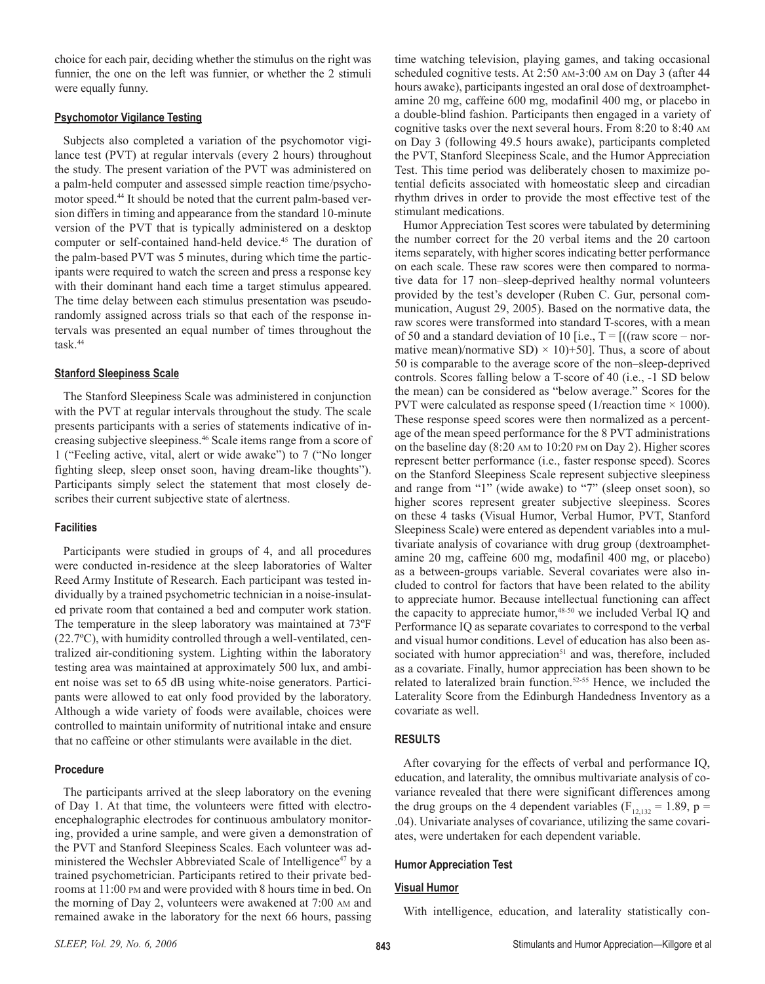choice for each pair, deciding whether the stimulus on the right was funnier, the one on the left was funnier, or whether the 2 stimuli were equally funny.

# **Psychomotor Vigilance Testing**

Subjects also completed a variation of the psychomotor vigilance test (PVT) at regular intervals (every 2 hours) throughout the study. The present variation of the PVT was administered on a palm-held computer and assessed simple reaction time/psychomotor speed.44 It should be noted that the current palm-based version differs in timing and appearance from the standard 10-minute version of the PVT that is typically administered on a desktop computer or self-contained hand-held device.<sup>45</sup> The duration of the palm-based PVT was 5 minutes, during which time the participants were required to watch the screen and press a response key with their dominant hand each time a target stimulus appeared. The time delay between each stimulus presentation was pseudorandomly assigned across trials so that each of the response intervals was presented an equal number of times throughout the task.<sup>44</sup>

# **Stanford Sleepiness Scale**

The Stanford Sleepiness Scale was administered in conjunction with the PVT at regular intervals throughout the study. The scale presents participants with a series of statements indicative of increasing subjective sleepiness.<sup>46</sup> Scale items range from a score of 1 ("Feeling active, vital, alert or wide awake") to 7 ("No longer fighting sleep, sleep onset soon, having dream-like thoughts"). Participants simply select the statement that most closely describes their current subjective state of alertness.

# **Facilities**

Participants were studied in groups of 4, and all procedures were conducted in-residence at the sleep laboratories of Walter Reed Army Institute of Research. Each participant was tested individually by a trained psychometric technician in a noise-insulated private room that contained a bed and computer work station. The temperature in the sleep laboratory was maintained at 73ºF (22.7ºC), with humidity controlled through a well-ventilated, centralized air-conditioning system. Lighting within the laboratory testing area was maintained at approximately 500 lux, and ambient noise was set to 65 dB using white-noise generators. Participants were allowed to eat only food provided by the laboratory. Although a wide variety of foods were available, choices were controlled to maintain uniformity of nutritional intake and ensure that no caffeine or other stimulants were available in the diet.

# **Procedure**

The participants arrived at the sleep laboratory on the evening of Day 1. At that time, the volunteers were fitted with electroencephalographic electrodes for continuous ambulatory monitoring, provided a urine sample, and were given a demonstration of the PVT and Stanford Sleepiness Scales. Each volunteer was administered the Wechsler Abbreviated Scale of Intelligence<sup>47</sup> by a trained psychometrician. Participants retired to their private bedrooms at 11:00 PM and were provided with 8 hours time in bed. On the morning of Day 2, volunteers were awakened at 7:00 AM and remained awake in the laboratory for the next 66 hours, passing

time watching television, playing games, and taking occasional scheduled cognitive tests. At 2:50 AM-3:00 AM on Day 3 (after 44 hours awake), participants ingested an oral dose of dextroamphetamine 20 mg, caffeine 600 mg, modafinil 400 mg, or placebo in a double-blind fashion. Participants then engaged in a variety of cognitive tasks over the next several hours. From 8:20 to 8:40 AM on Day 3 (following 49.5 hours awake), participants completed the PVT, Stanford Sleepiness Scale, and the Humor Appreciation Test. This time period was deliberately chosen to maximize potential deficits associated with homeostatic sleep and circadian rhythm drives in order to provide the most effective test of the stimulant medications.

Humor Appreciation Test scores were tabulated by determining the number correct for the 20 verbal items and the 20 cartoon items separately, with higher scores indicating better performance on each scale. These raw scores were then compared to normative data for 17 non–sleep-deprived healthy normal volunteers provided by the test's developer (Ruben C. Gur, personal communication, August 29, 2005). Based on the normative data, the raw scores were transformed into standard T-scores, with a mean of 50 and a standard deviation of 10 [i.e.,  $T = [($ (raw score – normative mean)/normative SD)  $\times$  10)+50]. Thus, a score of about 50 is comparable to the average score of the non–sleep-deprived controls. Scores falling below a T-score of 40 (i.e., -1 SD below the mean) can be considered as "below average." Scores for the PVT were calculated as response speed (1/reaction time  $\times$  1000). These response speed scores were then normalized as a percentage of the mean speed performance for the 8 PVT administrations on the baseline day (8:20 AM to 10:20 PM on Day 2). Higher scores represent better performance (i.e., faster response speed). Scores on the Stanford Sleepiness Scale represent subjective sleepiness and range from "1" (wide awake) to "7" (sleep onset soon), so higher scores represent greater subjective sleepiness. Scores on these 4 tasks (Visual Humor, Verbal Humor, PVT, Stanford Sleepiness Scale) were entered as dependent variables into a multivariate analysis of covariance with drug group (dextroamphetamine 20 mg, caffeine 600 mg, modafinil 400 mg, or placebo) as a between-groups variable. Several covariates were also included to control for factors that have been related to the ability to appreciate humor. Because intellectual functioning can affect the capacity to appreciate humor,<sup>48-50</sup> we included Verbal IQ and Performance IQ as separate covariates to correspond to the verbal and visual humor conditions. Level of education has also been associated with humor appreciation<sup>51</sup> and was, therefore, included as a covariate. Finally, humor appreciation has been shown to be related to lateralized brain function.<sup>52-55</sup> Hence, we included the Laterality Score from the Edinburgh Handedness Inventory as a covariate as well.

# **RESULTS**

After covarying for the effects of verbal and performance IQ, education, and laterality, the omnibus multivariate analysis of covariance revealed that there were significant differences among the drug groups on the 4 dependent variables ( $F_{12,132} = 1.89$ , p = .04). Univariate analyses of covariance, utilizing the same covariates, were undertaken for each dependent variable.

# **Humor Appreciation Test**

# **Visual Humor**

With intelligence, education, and laterality statistically con-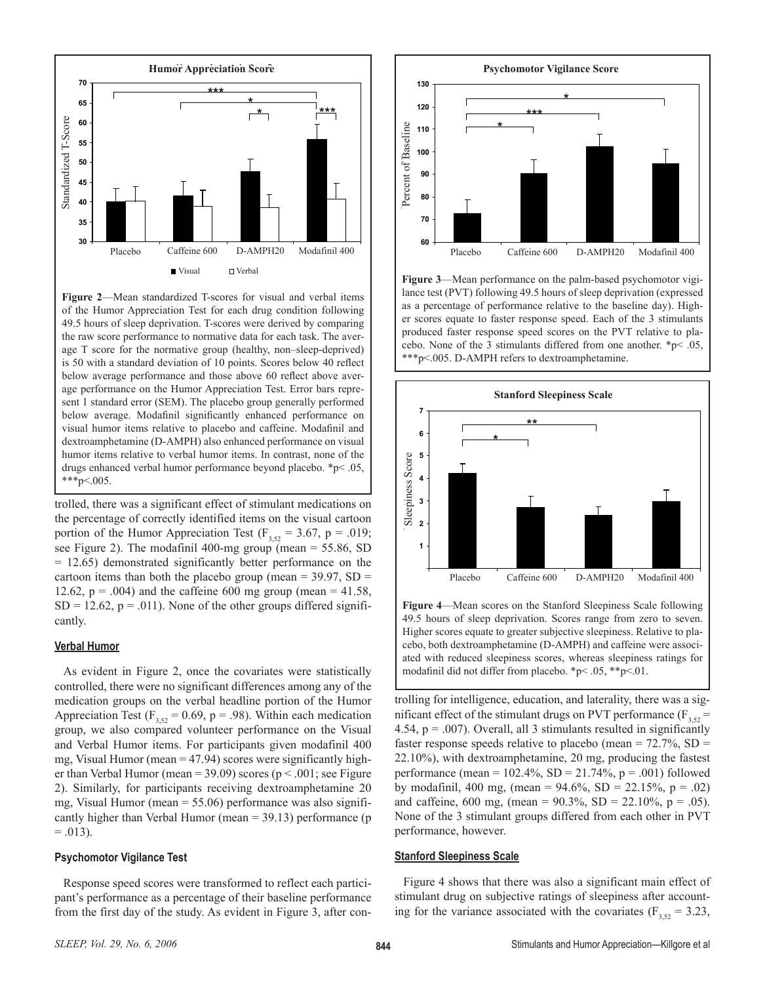

**Figure 2**—Mean standardized T-scores for visual and verbal items of the Humor Appreciation Test for each drug condition following 49.5 hours of sleep deprivation. T-scores were derived by comparing the raw score performance to normative data for each task. The average T score for the normative group (healthy, non–sleep-deprived) is 50 with a standard deviation of 10 points. Scores below 40 reflect below average performance and those above 60 reflect above average performance on the Humor Appreciation Test. Error bars represent 1 standard error (SEM). The placebo group generally performed below average. Modafinil significantly enhanced performance on visual humor items relative to placebo and caffeine. Modafinil and dextroamphetamine (D-AMPH) also enhanced performance on visual humor items relative to verbal humor items. In contrast, none of the drugs enhanced verbal humor performance beyond placebo. \*p< .05, \*\*\*p<.005.

trolled, there was a significant effect of stimulant medications on the percentage of correctly identified items on the visual cartoon portion of the Humor Appreciation Test ( $F_{3,52} = 3.67$ , p = .019; see Figure 2). The modafinil 400-mg group (mean = 55.86, SD = 12.65) demonstrated significantly better performance on the cartoon items than both the placebo group (mean  $=$  39.97, SD  $=$ 12.62,  $p = .004$ ) and the caffeine 600 mg group (mean = 41.58,  $SD = 12.62$ ,  $p = .011$ ). None of the other groups differed significantly.

# **Verbal Humor**

As evident in Figure 2, once the covariates were statistically controlled, there were no significant differences among any of the medication groups on the verbal headline portion of the Humor Appreciation Test ( $F_{352} = 0.69$ , p = .98). Within each medication group, we also compared volunteer performance on the Visual and Verbal Humor items. For participants given modafinil 400 mg, Visual Humor (mean = 47.94) scores were significantly higher than Verbal Humor (mean = 39.09) scores ( $p < .001$ ; see Figure 2). Similarly, for participants receiving dextroamphetamine 20 mg, Visual Humor (mean = 55.06) performance was also significantly higher than Verbal Humor (mean = 39.13) performance (p  $= .013$ ).

# **Psychomotor Vigilance Test**

Response speed scores were transformed to reflect each participant's performance as a percentage of their baseline performance from the first day of the study. As evident in Figure 3, after con-



**Figure 3**—Mean performance on the palm-based psychomotor vigilance test (PVT) following 49.5 hours of sleep deprivation (expressed as a percentage of performance relative to the baseline day). Higher scores equate to faster response speed. Each of the 3 stimulants produced faster response speed scores on the PVT relative to placebo. None of the 3 stimulants differed from one another. \*p< .05, \*\*\*p<.005. D-AMPH refers to dextroamphetamine.



**Figure 4**—Mean scores on the Stanford Sleepiness Scale following 49.5 hours of sleep deprivation. Scores range from zero to seven. Higher scores equate to greater subjective sleepiness. Relative to placebo, both dextroamphetamine (D-AMPH) and caffeine were associated with reduced sleepiness scores, whereas sleepiness ratings for modafinil did not differ from placebo. \*p< .05, \*\*p<.01.

trolling for intelligence, education, and laterality, there was a significant effect of the stimulant drugs on PVT performance ( $F_{3,52}$  = 4.54,  $p = .007$ ). Overall, all 3 stimulants resulted in significantly faster response speeds relative to placebo (mean =  $72.7\%$ , SD = 22.10%), with dextroamphetamine, 20 mg, producing the fastest performance (mean =  $102.4\%$ , SD =  $21.74\%$ , p = .001) followed by modafinil, 400 mg, (mean =  $94.6\%$ , SD =  $22.15\%$ , p = .02) and caffeine, 600 mg, (mean =  $90.3\%$ , SD =  $22.10\%$ , p = .05). None of the 3 stimulant groups differed from each other in PVT performance, however.

## **Stanford Sleepiness Scale**

Figure 4 shows that there was also a significant main effect of stimulant drug on subjective ratings of sleepiness after accounting for the variance associated with the covariates ( $F_{3.52} = 3.23$ ,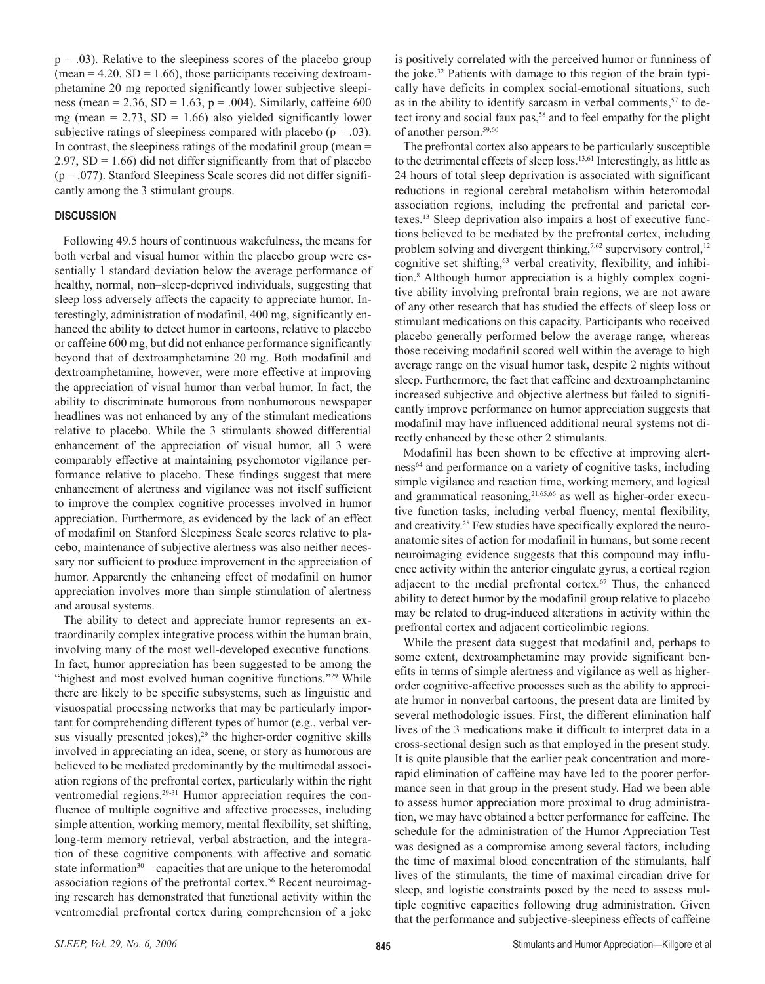$p = .03$ ). Relative to the sleepiness scores of the placebo group  $(\text{mean} = 4.20, SD = 1.66)$ , those participants receiving dextroamphetamine 20 mg reported significantly lower subjective sleepiness (mean =  $2.36$ , SD =  $1.63$ , p =  $.004$ ). Similarly, caffeine 600 mg (mean  $= 2.73$ , SD  $= 1.66$ ) also yielded significantly lower subjective ratings of sleepiness compared with placebo ( $p = .03$ ). In contrast, the sleepiness ratings of the modafinil group (mean  $=$  $2.97$ ,  $SD = 1.66$ ) did not differ significantly from that of placebo  $(p = .077)$ . Stanford Sleepiness Scale scores did not differ significantly among the 3 stimulant groups.

## **DISCUSSION**

Following 49.5 hours of continuous wakefulness, the means for both verbal and visual humor within the placebo group were essentially 1 standard deviation below the average performance of healthy, normal, non–sleep-deprived individuals, suggesting that sleep loss adversely affects the capacity to appreciate humor. Interestingly, administration of modafinil, 400 mg, significantly enhanced the ability to detect humor in cartoons, relative to placebo or caffeine 600 mg, but did not enhance performance significantly beyond that of dextroamphetamine 20 mg. Both modafinil and dextroamphetamine, however, were more effective at improving the appreciation of visual humor than verbal humor. In fact, the ability to discriminate humorous from nonhumorous newspaper headlines was not enhanced by any of the stimulant medications relative to placebo. While the 3 stimulants showed differential enhancement of the appreciation of visual humor, all 3 were comparably effective at maintaining psychomotor vigilance performance relative to placebo. These findings suggest that mere enhancement of alertness and vigilance was not itself sufficient to improve the complex cognitive processes involved in humor appreciation. Furthermore, as evidenced by the lack of an effect of modafinil on Stanford Sleepiness Scale scores relative to placebo, maintenance of subjective alertness was also neither necessary nor sufficient to produce improvement in the appreciation of humor. Apparently the enhancing effect of modafinil on humor appreciation involves more than simple stimulation of alertness and arousal systems.

The ability to detect and appreciate humor represents an extraordinarily complex integrative process within the human brain, involving many of the most well-developed executive functions. In fact, humor appreciation has been suggested to be among the "highest and most evolved human cognitive functions."<sup>29</sup> While there are likely to be specific subsystems, such as linguistic and visuospatial processing networks that may be particularly important for comprehending different types of humor (e.g., verbal versus visually presented jokes),<sup>29</sup> the higher-order cognitive skills involved in appreciating an idea, scene, or story as humorous are believed to be mediated predominantly by the multimodal association regions of the prefrontal cortex, particularly within the right ventromedial regions.29-31 Humor appreciation requires the confluence of multiple cognitive and affective processes, including simple attention, working memory, mental flexibility, set shifting, long-term memory retrieval, verbal abstraction, and the integration of these cognitive components with affective and somatic state information<sup>30</sup>—capacities that are unique to the heteromodal association regions of the prefrontal cortex.56 Recent neuroimaging research has demonstrated that functional activity within the ventromedial prefrontal cortex during comprehension of a joke is positively correlated with the perceived humor or funniness of the joke.32 Patients with damage to this region of the brain typically have deficits in complex social-emotional situations, such as in the ability to identify sarcasm in verbal comments, $57$  to detect irony and social faux pas,<sup>58</sup> and to feel empathy for the plight of another person.59,60

The prefrontal cortex also appears to be particularly susceptible to the detrimental effects of sleep loss.13,61 Interestingly, as little as 24 hours of total sleep deprivation is associated with significant reductions in regional cerebral metabolism within heteromodal association regions, including the prefrontal and parietal cortexes.13 Sleep deprivation also impairs a host of executive functions believed to be mediated by the prefrontal cortex, including problem solving and divergent thinking,<sup>7,62</sup> supervisory control,<sup>12</sup> cognitive set shifting,<sup>63</sup> verbal creativity, flexibility, and inhibition.<sup>8</sup> Although humor appreciation is a highly complex cognitive ability involving prefrontal brain regions, we are not aware of any other research that has studied the effects of sleep loss or stimulant medications on this capacity. Participants who received placebo generally performed below the average range, whereas those receiving modafinil scored well within the average to high average range on the visual humor task, despite 2 nights without sleep. Furthermore, the fact that caffeine and dextroamphetamine increased subjective and objective alertness but failed to significantly improve performance on humor appreciation suggests that modafinil may have influenced additional neural systems not directly enhanced by these other 2 stimulants.

Modafinil has been shown to be effective at improving alertness<sup>64</sup> and performance on a variety of cognitive tasks, including simple vigilance and reaction time, working memory, and logical and grammatical reasoning,<sup>21,65,66</sup> as well as higher-order executive function tasks, including verbal fluency, mental flexibility, and creativity.<sup>28</sup> Few studies have specifically explored the neuroanatomic sites of action for modafinil in humans, but some recent neuroimaging evidence suggests that this compound may influence activity within the anterior cingulate gyrus, a cortical region adjacent to the medial prefrontal cortex.<sup>67</sup> Thus, the enhanced ability to detect humor by the modafinil group relative to placebo may be related to drug-induced alterations in activity within the prefrontal cortex and adjacent corticolimbic regions.

While the present data suggest that modafinil and, perhaps to some extent, dextroamphetamine may provide significant benefits in terms of simple alertness and vigilance as well as higherorder cognitive-affective processes such as the ability to appreciate humor in nonverbal cartoons, the present data are limited by several methodologic issues. First, the different elimination half lives of the 3 medications make it difficult to interpret data in a cross-sectional design such as that employed in the present study. It is quite plausible that the earlier peak concentration and morerapid elimination of caffeine may have led to the poorer performance seen in that group in the present study. Had we been able to assess humor appreciation more proximal to drug administration, we may have obtained a better performance for caffeine. The schedule for the administration of the Humor Appreciation Test was designed as a compromise among several factors, including the time of maximal blood concentration of the stimulants, half lives of the stimulants, the time of maximal circadian drive for sleep, and logistic constraints posed by the need to assess multiple cognitive capacities following drug administration. Given that the performance and subjective-sleepiness effects of caffeine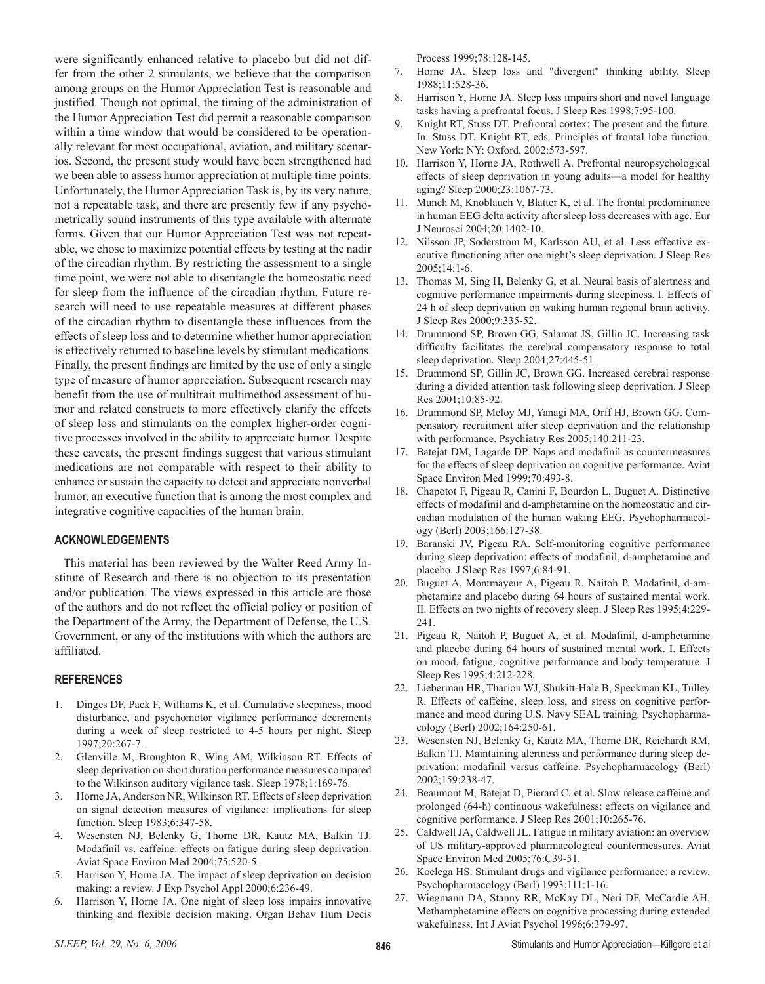were significantly enhanced relative to placebo but did not differ from the other 2 stimulants, we believe that the comparison among groups on the Humor Appreciation Test is reasonable and justified. Though not optimal, the timing of the administration of the Humor Appreciation Test did permit a reasonable comparison within a time window that would be considered to be operationally relevant for most occupational, aviation, and military scenarios. Second, the present study would have been strengthened had we been able to assess humor appreciation at multiple time points. Unfortunately, the Humor Appreciation Task is, by its very nature, not a repeatable task, and there are presently few if any psychometrically sound instruments of this type available with alternate forms. Given that our Humor Appreciation Test was not repeatable, we chose to maximize potential effects by testing at the nadir of the circadian rhythm. By restricting the assessment to a single time point, we were not able to disentangle the homeostatic need for sleep from the influence of the circadian rhythm. Future research will need to use repeatable measures at different phases of the circadian rhythm to disentangle these influences from the effects of sleep loss and to determine whether humor appreciation is effectively returned to baseline levels by stimulant medications. Finally, the present findings are limited by the use of only a single type of measure of humor appreciation. Subsequent research may benefit from the use of multitrait multimethod assessment of humor and related constructs to more effectively clarify the effects of sleep loss and stimulants on the complex higher-order cognitive processes involved in the ability to appreciate humor. Despite these caveats, the present findings suggest that various stimulant medications are not comparable with respect to their ability to enhance or sustain the capacity to detect and appreciate nonverbal humor, an executive function that is among the most complex and integrative cognitive capacities of the human brain.

# **ACKNOWLEDGEMENTS**

This material has been reviewed by the Walter Reed Army Institute of Research and there is no objection to its presentation and/or publication. The views expressed in this article are those of the authors and do not reflect the official policy or position of the Department of the Army, the Department of Defense, the U.S. Government, or any of the institutions with which the authors are affiliated.

# **REFERENCES**

- 1. Dinges DF, Pack F, Williams K, et al. Cumulative sleepiness, mood disturbance, and psychomotor vigilance performance decrements during a week of sleep restricted to 4-5 hours per night. Sleep 1997;20:267-7.
- 2. Glenville M, Broughton R, Wing AM, Wilkinson RT. Effects of sleep deprivation on short duration performance measures compared to the Wilkinson auditory vigilance task. Sleep 1978;1:169-76.
- 3. Horne JA, Anderson NR, Wilkinson RT. Effects of sleep deprivation on signal detection measures of vigilance: implications for sleep function. Sleep 1983;6:347-58.
- 4. Wesensten NJ, Belenky G, Thorne DR, Kautz MA, Balkin TJ. Modafinil vs. caffeine: effects on fatigue during sleep deprivation. Aviat Space Environ Med 2004;75:520-5.
- 5. Harrison Y, Horne JA. The impact of sleep deprivation on decision making: a review. J Exp Psychol Appl 2000;6:236-49.
- 6. Harrison Y, Horne JA. One night of sleep loss impairs innovative thinking and flexible decision making. Organ Behav Hum Decis

Process 1999;78:128-145.

- 7. Horne JA. Sleep loss and "divergent" thinking ability. Sleep 1988;11:528-36.
- 8. Harrison Y, Horne JA. Sleep loss impairs short and novel language tasks having a prefrontal focus. J Sleep Res 1998;7:95-100.
- Knight RT, Stuss DT. Prefrontal cortex: The present and the future. In: Stuss DT, Knight RT, eds. Principles of frontal lobe function. New York: NY: Oxford, 2002:573-597.
- 10. Harrison Y, Horne JA, Rothwell A. Prefrontal neuropsychological effects of sleep deprivation in young adults—a model for healthy aging? Sleep 2000;23:1067-73.
- 11. Munch M, Knoblauch V, Blatter K, et al. The frontal predominance in human EEG delta activity after sleep loss decreases with age. Eur J Neurosci 2004;20:1402-10.
- 12. Nilsson JP, Soderstrom M, Karlsson AU, et al. Less effective executive functioning after one night's sleep deprivation. J Sleep Res 2005;14:1-6.
- 13. Thomas M, Sing H, Belenky G, et al. Neural basis of alertness and cognitive performance impairments during sleepiness. I. Effects of 24 h of sleep deprivation on waking human regional brain activity. J Sleep Res 2000;9:335-52.
- 14. Drummond SP, Brown GG, Salamat JS, Gillin JC. Increasing task difficulty facilitates the cerebral compensatory response to total sleep deprivation. Sleep 2004;27:445-51.
- 15. Drummond SP, Gillin JC, Brown GG. Increased cerebral response during a divided attention task following sleep deprivation. J Sleep Res 2001;10:85-92.
- 16. Drummond SP, Meloy MJ, Yanagi MA, Orff HJ, Brown GG. Compensatory recruitment after sleep deprivation and the relationship with performance. Psychiatry Res 2005;140:211-23.
- 17. Batejat DM, Lagarde DP. Naps and modafinil as countermeasures for the effects of sleep deprivation on cognitive performance. Aviat Space Environ Med 1999;70:493-8.
- 18. Chapotot F, Pigeau R, Canini F, Bourdon L, Buguet A. Distinctive effects of modafinil and d-amphetamine on the homeostatic and circadian modulation of the human waking EEG. Psychopharmacology (Berl) 2003;166:127-38.
- 19. Baranski JV, Pigeau RA. Self-monitoring cognitive performance during sleep deprivation: effects of modafinil, d-amphetamine and placebo. J Sleep Res 1997;6:84-91.
- 20. Buguet A, Montmayeur A, Pigeau R, Naitoh P. Modafinil, d-amphetamine and placebo during 64 hours of sustained mental work. II. Effects on two nights of recovery sleep. J Sleep Res 1995;4:229- 241.
- 21. Pigeau R, Naitoh P, Buguet A, et al. Modafinil, d-amphetamine and placebo during 64 hours of sustained mental work. I. Effects on mood, fatigue, cognitive performance and body temperature. J Sleep Res 1995;4:212-228.
- 22. Lieberman HR, Tharion WJ, Shukitt-Hale B, Speckman KL, Tulley R. Effects of caffeine, sleep loss, and stress on cognitive performance and mood during U.S. Navy SEAL training. Psychopharmacology (Berl) 2002;164:250-61.
- 23. Wesensten NJ, Belenky G, Kautz MA, Thorne DR, Reichardt RM, Balkin TJ. Maintaining alertness and performance during sleep deprivation: modafinil versus caffeine. Psychopharmacology (Berl) 2002;159:238-47.
- 24. Beaumont M, Batejat D, Pierard C, et al. Slow release caffeine and prolonged (64-h) continuous wakefulness: effects on vigilance and cognitive performance. J Sleep Res 2001;10:265-76.
- 25. Caldwell JA, Caldwell JL. Fatigue in military aviation: an overview of US military-approved pharmacological countermeasures. Aviat Space Environ Med 2005;76:C39-51.
- 26. Koelega HS. Stimulant drugs and vigilance performance: a review. Psychopharmacology (Berl) 1993;111:1-16.
- 27. Wiegmann DA, Stanny RR, McKay DL, Neri DF, McCardie AH. Methamphetamine effects on cognitive processing during extended wakefulness. Int J Aviat Psychol 1996;6:379-97.